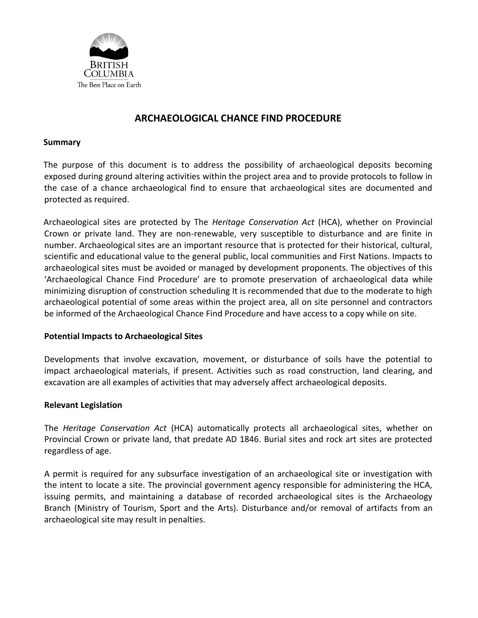

## **ARCHAEOLOGICAL CHANCE FIND PROCEDURE**

### **Summary**

The purpose of this document is to address the possibility of archaeological deposits becoming exposed during ground altering activities within the project area and to provide protocols to follow in the case of a chance archaeological find to ensure that archaeological sites are documented and protected as required.

Archaeological sites are protected by The *Heritage Conservation Act* (HCA), whether on Provincial Crown or private land. They are non-renewable, very susceptible to disturbance and are finite in number. Archaeological sites are an important resource that is protected for their historical, cultural, scientific and educational value to the general public, local communities and First Nations. Impacts to archaeological sites must be avoided or managed by development proponents. The objectives of this 'Archaeological Chance Find Procedure' are to promote preservation of archaeological data while minimizing disruption of construction scheduling It is recommended that due to the moderate to high archaeological potential of some areas within the project area, all on site personnel and contractors be informed of the Archaeological Chance Find Procedure and have access to a copy while on site.

## **Potential Impacts to Archaeological Sites**

Developments that involve excavation, movement, or disturbance of soils have the potential to impact archaeological materials, if present. Activities such as road construction, land clearing, and excavation are all examples of activities that may adversely affect archaeological deposits.

## **Relevant Legislation**

The *Heritage Conservation Act* (HCA) automatically protects all archaeological sites, whether on Provincial Crown or private land, that predate AD 1846. Burial sites and rock art sites are protected regardless of age.

A permit is required for any subsurface investigation of an archaeological site or investigation with the intent to locate a site. The provincial government agency responsible for administering the HCA, issuing permits, and maintaining a database of recorded archaeological sites is the Archaeology Branch (Ministry of Tourism, Sport and the Arts). Disturbance and/or removal of artifacts from an archaeological site may result in penalties.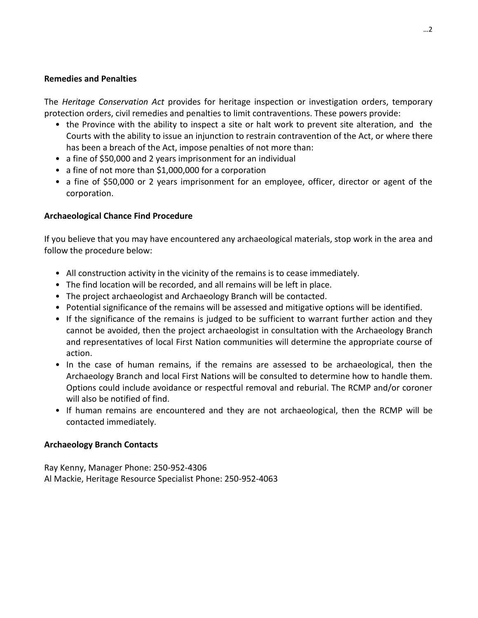### **Remedies and Penalties**

The *Heritage Conservation Act* provides for heritage inspection or investigation orders, temporary protection orders, civil remedies and penalties to limit contraventions. These powers provide:

- the Province with the ability to inspect a site or halt work to prevent site alteration, and the Courts with the ability to issue an injunction to restrain contravention of the Act, or where there has been a breach of the Act, impose penalties of not more than:
- a fine of \$50,000 and 2 years imprisonment for an individual
- a fine of not more than \$1,000,000 for a corporation
- a fine of \$50,000 or 2 years imprisonment for an employee, officer, director or agent of the corporation.

## **Archaeological Chance Find Procedure**

If you believe that you may have encountered any archaeological materials, stop work in the area and follow the procedure below:

- All construction activity in the vicinity of the remains is to cease immediately.
- The find location will be recorded, and all remains will be left in place.
- The project archaeologist and Archaeology Branch will be contacted.
- Potential significance of the remains will be assessed and mitigative options will be identified.
- If the significance of the remains is judged to be sufficient to warrant further action and they cannot be avoided, then the project archaeologist in consultation with the Archaeology Branch and representatives of local First Nation communities will determine the appropriate course of action.
- In the case of human remains, if the remains are assessed to be archaeological, then the Archaeology Branch and local First Nations will be consulted to determine how to handle them. Options could include avoidance or respectful removal and reburial. The RCMP and/or coroner will also be notified of find.
- If human remains are encountered and they are not archaeological, then the RCMP will be contacted immediately.

## **Archaeology Branch Contacts**

Ray Kenny, Manager Phone: 250-952-4306 Al Mackie, Heritage Resource Specialist Phone: 250-952-4063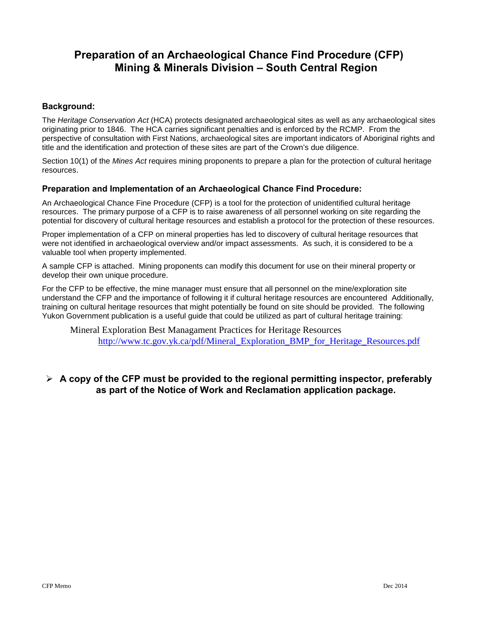# **Preparation of an Archaeological Chance Find Procedure (CFP) Mining & Minerals Division – South Central Region**

#### **Background:**

The *Heritage Conservation Act* (HCA) protects designated archaeological sites as well as any archaeological sites originating prior to 1846. The HCA carries significant penalties and is enforced by the RCMP. From the perspective of consultation with First Nations, archaeological sites are important indicators of Aboriginal rights and title and the identification and protection of these sites are part of the Crown's due diligence.

Section 10(1) of the *Mines Act* requires mining proponents to prepare a plan for the protection of cultural heritage resources.

#### **Preparation and Implementation of an Archaeological Chance Find Procedure:**

An Archaeological Chance Fine Procedure (CFP) is a tool for the protection of unidentified cultural heritage resources. The primary purpose of a CFP is to raise awareness of all personnel working on site regarding the potential for discovery of cultural heritage resources and establish a protocol for the protection of these resources.

Proper implementation of a CFP on mineral properties has led to discovery of cultural heritage resources that were not identified in archaeological overview and/or impact assessments. As such, it is considered to be a valuable tool when property implemented.

A sample CFP is attached. Mining proponents can modify this document for use on their mineral property or develop their own unique procedure.

For the CFP to be effective, the mine manager must ensure that all personnel on the mine/exploration site understand the CFP and the importance of following it if cultural heritage resources are encountered Additionally, training on cultural heritage resources that might potentially be found on site should be provided. The following Yukon Government publication is a useful guide that could be utilized as part of cultural heritage training:

Mineral Exploration Best Managament Practices for Heritage Resources [http://www.tc.gov.yk.ca/pdf/Mineral\\_Exploration\\_BMP\\_for\\_Heritage\\_Resources.pdf](http://www.tc.gov.yk.ca/pdf/Mineral_Exploration_BMP_for_Heritage_Resources.pdf)

## **A copy of the CFP must be provided to the regional permitting inspector, preferably as part of the Notice of Work and Reclamation application package.**